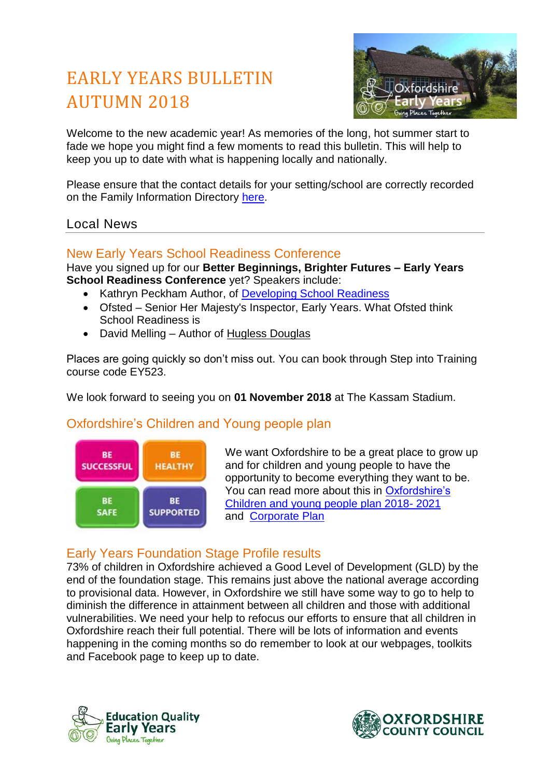# EARLY YEARS BULLETIN AUTUMN 2018



Welcome to the new academic year! As memories of the long, hot summer start to fade we hope you might find a few moments to read this bulletin. This will help to keep you up to date with what is happening locally and nationally.

Please ensure that the contact details for your setting/school are correctly recorded on the Family Information Directory [here.](https://fisd.oxfordshire.gov.uk/kb5/oxfordshire/directory/providers.page)

#### Local News

## New Early Years School Readiness Conference

Have you signed up for our **Better Beginnings, Brighter Futures – Early Years School Readiness Conference** yet? Speakers include:

- Kathryn Peckham Author, of [Developing School Readiness](https://www.amazon.co.uk/Developing-School-Readiness-Kathryn-Peckham/dp/1473947251)
- Ofsted Senior Her Majesty's Inspector, Early Years. What Ofsted think School Readiness is
- David Melling Author of [Hugless Douglas](http://www.huglessdouglas.co.uk/)

Places are going quickly so don't miss out. You can book through Step into Training course code EY523.

We look forward to seeing you on **01 November 2018** at The Kassam Stadium.

## Oxfordshire's Children and Young people plan



We want Oxfordshire to be a great place to grow up and for children and young people to have the opportunity to become everything they want to be. You can read more about this in [Oxfordshire's](https://oxfordshire-gov.pmail4.com/PoliteMail/files/Children%20and%20Young%20People%20Plan%202018%20-%202021%20FINAL.pdf)  [Children and young people plan 2018-](https://oxfordshire-gov.pmail4.com/PoliteMail/files/Children%20and%20Young%20People%20Plan%202018%20-%202021%20FINAL.pdf) 2021 and [Corporate Plan](https://www.oxfordshire.gov.uk/council/about-your-council/government-oxfordshire/oxfordshire-county-council/vision-and-objectives/corporate-plan)

## Early Years Foundation Stage Profile results

73% of children in Oxfordshire achieved a Good Level of Development (GLD) by the end of the foundation stage. This remains just above the national average according to provisional data. However, in Oxfordshire we still have some way to go to help to diminish the difference in attainment between all children and those with additional vulnerabilities. We need your help to refocus our efforts to ensure that all children in Oxfordshire reach their full potential. There will be lots of information and events happening in the coming months so do remember to look at our webpages, toolkits and Facebook page to keep up to date.



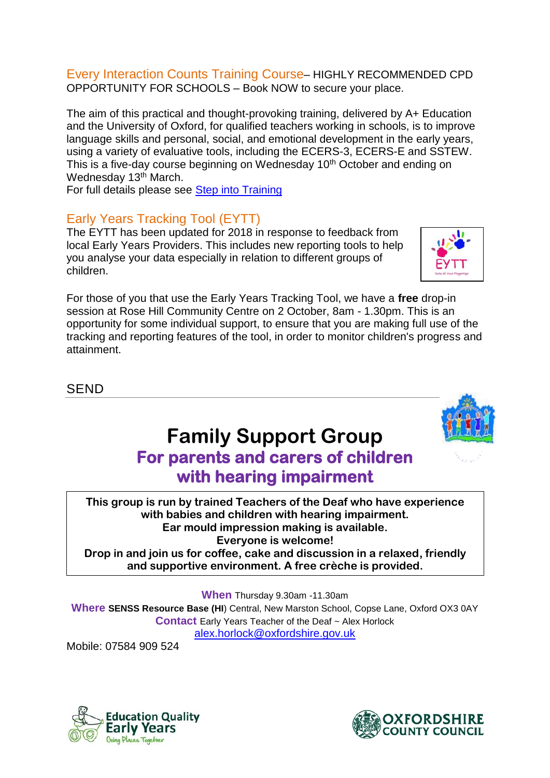#### Every Interaction Counts Training Course– HIGHLY RECOMMENDED CPD OPPORTUNITY FOR SCHOOLS – Book NOW to secure your place.

The aim of this practical and thought-provoking training, delivered by A+ Education and the University of Oxford, for qualified teachers working in schools, is to improve language skills and personal, social, and emotional development in the early years, using a variety of evaluative tools, including the ECERS-3, ECERS-E and SSTEW. This is a five-day course beginning on Wednesday 10<sup>th</sup> October and ending on Wednesday 13<sup>th</sup> March.

For full details please see [Step into Training](https://oxfordshirecpdonline.com/courses/bookings/default.asp?ds=1&keyword=making%20every%20interaction%20count)

## Early Years Tracking Tool (EYTT)

The EYTT has been updated for 2018 in response to feedback from local Early Years Providers. This includes new reporting tools to help you analyse your data especially in relation to different groups of children.

For those of you that use the Early Years Tracking Tool, we have a **free** drop-in session at Rose Hill Community Centre on 2 October, 8am - 1.30pm. This is an opportunity for some individual support, to ensure that you are making full use of the tracking and reporting features of the tool, in order to monitor children's progress and attainment.

**SEND** 

## Family Support Group For parents and carers of children with hearing impairment

This group is run by trained Teachers of the Deaf who have experience with babies and children with hearing impairment. Ear mould impression making is available. Everyone is welcome! Drop in and join us for coffee, cake and discussion in a relaxed, friendly and supportive environment. A free crèche is provided.

**When** Thursday 9.30am -11.30am

**Where SENSS Resource Base (HI**) Central, New Marston School, Copse Lane, Oxford OX3 0AY **Contact** Early Years Teacher of the Deaf ~ Alex Horlock [alex.horlock@oxfordshire.gov.uk](mailto:alex.horlock@oxfordshire.gov.uk)

Mobile: 07584 909 524







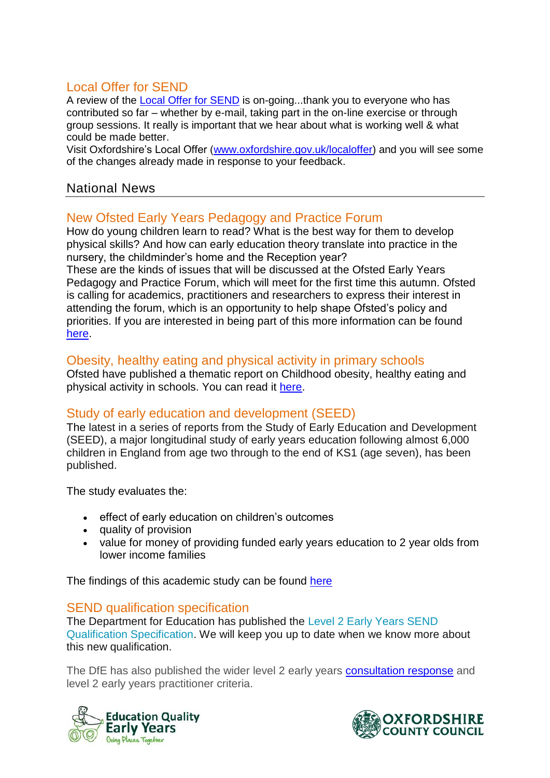## Local Offer for SEND

A review of the [Local Offer](https://www.oxfordshire.gov.uk/residents/special-educational-needs-and-disability-local-offer) for SEND is on-going...thank you to everyone who has contributed so far – whether by e-mail, taking part in the on-line exercise or through group sessions. It really is important that we hear about what is working well & what could be made better.

Visit Oxfordshire's Local Offer [\(www.oxfordshire.gov.uk/localoffer\)](http://www.oxfordshire.gov.uk/localoffer) and you will see some of the changes already made in response to your feedback.

## National News

## New Ofsted Early Years Pedagogy and Practice Forum

How do young children learn to read? What is the best way for them to develop physical skills? And how can early education theory translate into practice in the nursery, the childminder's home and the Reception year?

These are the kinds of issues that will be discussed at the Ofsted Early Years Pedagogy and Practice Forum, which will meet for the first time this autumn. Ofsted is calling for academics, practitioners and researchers to express their interest in attending the forum, which is an opportunity to help shape Ofsted's policy and priorities. If you are interested in being part of this more information can be found [here.](https://www.gov.uk/government/news/ofsted-calls-for-early-years-experts)

#### Obesity, healthy eating and physical activity in primary schools

Ofsted have published a thematic report on Childhood obesity, healthy eating and physical activity in schools. You can read it [here.](https://assets.publishing.service.gov.uk/government/uploads/system/uploads/attachment_data/file/726114/Obesity__healthy_eating_and_physical_activity_in_primary_schools_170718.pdf)

## Study of early education and development (SEED)

The latest in a series of reports from the Study of Early Education and Development (SEED), a major longitudinal study of early years education following almost 6,000 children in England from age two through to the end of KS1 (age seven), has been published.

The study evaluates the:

- effect of early education on children's outcomes
- quality of provision
- value for money of providing funded early years education to 2 year olds from lower income families

The findings of this academic study can be found [here](https://assets.publishing.service.gov.uk/government/uploads/system/uploads/attachment_data/file/738729/SEED_Impact_Age_4_Report_September_2018_Research_Brief.pdf)

#### SEND qualification specification

The Department for Education has published the [Level 2 Early Years SEND](https://www.foundationyears.org.uk/wp-content/uploads/2018/07/L2-EY-SEND-Qualification-Specification-FINAL.docx)  [Qualification Specification.](https://www.foundationyears.org.uk/wp-content/uploads/2018/07/L2-EY-SEND-Qualification-Specification-FINAL.docx) We will keep you up to date when we know more about this new qualification.

The DfE has also published the wider level 2 early years **consultation response** and level 2 early years practitioner criteria.



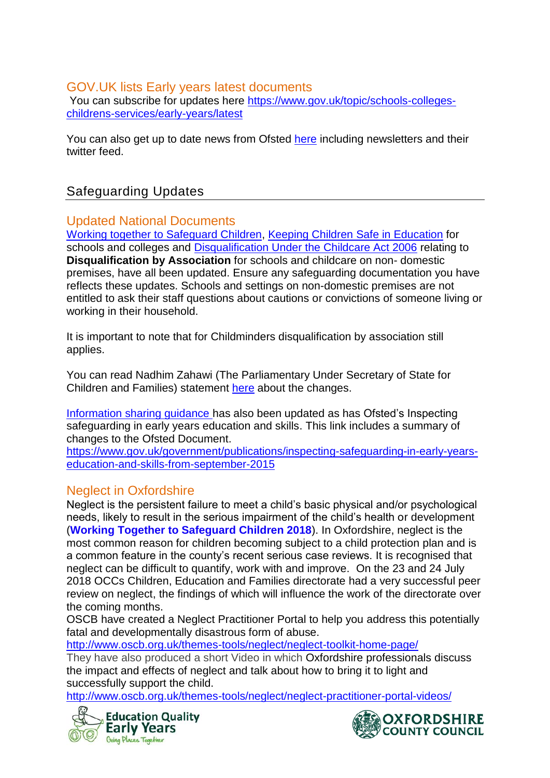## GOV.UK lists Early years latest documents

You can subscribe for updates here [https://www.gov.uk/topic/schools-colleges](https://www.gov.uk/topic/schools-colleges-childrens-services/early-years/latest)[childrens-services/early-years/latest](https://www.gov.uk/topic/schools-colleges-childrens-services/early-years/latest)

You can also get up to date news from Ofsted [here](https://www.gov.uk/government/organisations/ofsted) including newsletters and their twitter feed.

## Safeguarding Updates

## Updated National Documents

[Working together to Safeguard Children,](https://www.gov.uk/government/publications/working-together-to-safeguard-children--2) [Keeping Children Safe in Education](https://www.gov.uk/government/publications/keeping-children-safe-in-education--2) for schools and colleges and [Disqualification Under the Childcare Act 2006](https://www.gov.uk/government/publications/disqualification-under-the-childcare-act-2006) relating to **Disqualification by Association** for schools and childcare on non- domestic premises, have all been updated. Ensure any safeguarding documentation you have reflects these updates. Schools and settings on non-domestic premises are not entitled to ask their staff questions about cautions or convictions of someone living or working in their household.

It is important to note that for Childminders disqualification by association still applies.

You can read [Nadhim Zahawi](https://www.parliament.uk/biographies/commons/nadhim-zahawi/4113) (The Parliamentary Under Secretary of State for Children and Families) statement [here](https://www.parliament.uk/business/publications/written-questions-answers-statements/written-statement/Commons/2018-07-02/HCWS815/) about the changes.

[Information sharing guidance](https://www.gov.uk/government/publications/safeguarding-practitioners-information-sharing-advice) has also been updated as has Ofsted's Inspecting safeguarding in early years education and skills. This link includes a summary of changes to the Ofsted Document.

[https://www.gov.uk/government/publications/inspecting-safeguarding-in-early-years](https://www.gov.uk/government/publications/inspecting-safeguarding-in-early-years-education-and-skills-from-september-2015)[education-and-skills-from-september-2015](https://www.gov.uk/government/publications/inspecting-safeguarding-in-early-years-education-and-skills-from-september-2015)

## Neglect in Oxfordshire

Neglect is the persistent failure to meet a child's basic physical and/or psychological needs, likely to result in the serious impairment of the child's health or development (**[Working Together to Safeguard Children 2018](https://assets.publishing.service.gov.uk/government/uploads/system/uploads/attachment_data/file/722305/Working_Together_to_Safeguard_Children_-_Guide.pdf)**). In Oxfordshire, neglect is the most common reason for children becoming subject to a child protection plan and is a common feature in the county's recent serious case reviews. It is recognised that neglect can be difficult to quantify, work with and improve. On the 23 and 24 July 2018 OCCs Children, Education and Families directorate had a very successful peer review on neglect, the findings of which will influence the work of the directorate over the coming months.

OSCB have created a Neglect Practitioner Portal to help you address this potentially fatal and developmentally disastrous form of abuse.

<http://www.oscb.org.uk/themes-tools/neglect/neglect-toolkit-home-page/>

They have also produced a short Video in which Oxfordshire professionals discuss the impact and effects of neglect and talk about how to bring it to light and successfully support the child.

<http://www.oscb.org.uk/themes-tools/neglect/neglect-practitioner-portal-videos/>



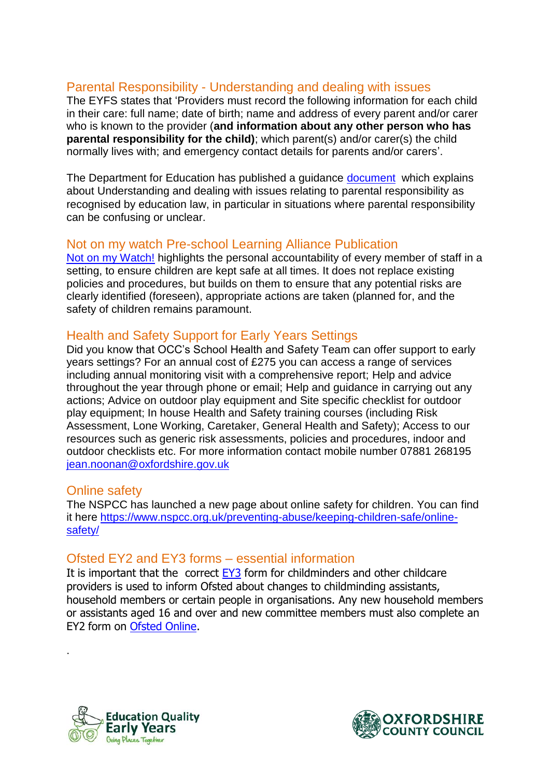## Parental Responsibility - Understanding and dealing with issues

The EYFS states that 'Providers must record the following information for each child in their care: full name; date of birth; name and address of every parent and/or carer who is known to the provider (**and information about any other person who has parental responsibility for the child)**; which parent(s) and/or carer(s) the child normally lives with; and emergency contact details for parents and/or carers'.

The Department for Education has published a guidance [document](https://www.gov.uk/government/publications/dealing-with-issues-relating-to-parental-responsibility?utm_source=68c841e4-dc28-4cd9-9175-f95a93c7e9dc&utm_medium=email&utm_campaign=govuk-notifications&utm_content=immediate) which explains about Understanding and dealing with issues relating to parental responsibility as recognised by education law, in particular in situations where parental responsibility can be confusing or unclear.

#### Not on my watch Pre-school Learning Alliance Publication

[Not on my Watch!](https://shop.pre-school.org.uk/T203/not-on-my-watch?utm_source=Foundation+Years&utm_campaign=5df415ed81-EMAIL_CAMPAIGN_2018_07_18_01_53&utm_medium=email&utm_term=0_e05004a334-5df415ed81-281275821) highlights the personal accountability of every member of staff in a setting, to ensure children are kept safe at all times. It does not replace existing policies and procedures, but builds on them to ensure that any potential risks are clearly identified (foreseen), appropriate actions are taken (planned for, and the safety of children remains paramount.

#### Health and Safety Support for Early Years Settings

Did you know that OCC's School Health and Safety Team can offer support to early years settings? For an annual cost of £275 you can access a range of services including annual monitoring visit with a comprehensive report; Help and advice throughout the year through phone or email; Help and guidance in carrying out any actions; Advice on outdoor play equipment and Site specific checklist for outdoor play equipment; In house Health and Safety training courses (including Risk Assessment, Lone Working, Caretaker, General Health and Safety); Access to our resources such as generic risk assessments, policies and procedures, indoor and outdoor checklists etc. For more information contact mobile number 07881 268195 [jean.noonan@oxfordshire.gov.uk](mailto:jean.noonan@oxfordshire.gov.uk)

#### Online safety

.

The NSPCC has launched a new page about online safety for children. You can find it here [https://www.nspcc.org.uk/preventing-abuse/keeping-children-safe/online](https://www.nspcc.org.uk/preventing-abuse/keeping-children-safe/online-safety/)[safety/](https://www.nspcc.org.uk/preventing-abuse/keeping-children-safe/online-safety/)

#### Ofsted EY2 and EY3 forms – essential information

It is important that the correct [EY3](https://www.gov.uk/government/publications/early-years-and-childcare-providers-ey3-changes-to-individuals) form for childminders and other childcare providers is used to inform Ofsted about changes to childminding assistants, household members or certain people in organisations. Any new household members or assistants aged 16 and over and new committee members must also complete an EY2 form on [Ofsted Online.](https://online.ofsted.gov.uk/onlineofsted/Default.aspx)



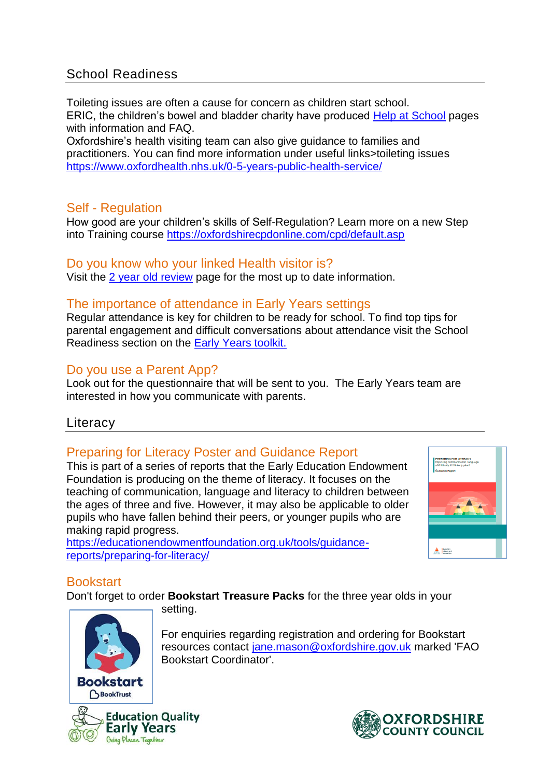## School Readiness

Toileting issues are often a cause for concern as children start school. ERIC, the children's bowel and bladder charity have produced [Help at School](https://www.eric.org.uk/Pages/Category/help-at-school) pages with information and FAQ.

Oxfordshire's health visiting team can also give guidance to families and practitioners. You can find more information under useful links>toileting issues <https://www.oxfordhealth.nhs.uk/0-5-years-public-health-service/>

## Self - Regulation

How good are your children's skills of Self-Regulation? Learn more on a new Step into Training course <https://oxfordshirecpdonline.com/cpd/default.asp>

## Do you know who your linked Health visitor is?

Visit the [2 year old review](https://www2.oxfordshire.gov.uk/cms/content/2-year-old-reviews) page for the most up to date information.

## The importance of attendance in Early Years settings

Regular attendance is key for children to be ready for school. To find top tips for parental engagement and difficult conversations about attendance visit the School Readiness section on the [Early Years toolkit.](https://www2.oxfordshire.gov.uk/cms/content/early-education-toolkit)

## Do you use a Parent App?

Look out for the questionnaire that will be sent to you. The Early Years team are interested in how you communicate with parents.

## **Literacy**

## Preparing for Literacy Poster and Guidance Report

This is part of a series of reports that the Early Education Endowment Foundation is producing on the theme of literacy. It focuses on the teaching of communication, language and literacy to children between the ages of three and five. However, it may also be applicable to older pupils who have fallen behind their peers, or younger pupils who are making rapid progress.

[https://educationendowmentfoundation.org.uk/tools/guidance](https://educationendowmentfoundation.org.uk/tools/guidance-reports/preparing-for-literacy/)[reports/preparing-for-literacy/](https://educationendowmentfoundation.org.uk/tools/guidance-reports/preparing-for-literacy/)

Bookstart Coordinator'.



## **Bookstart**

Don't forget to order **Bookstart Treasure Packs** for the three year olds in your setting.

> For enquiries regarding registration and ordering for Bookstart resources contact [jane.mason@oxfordshire.gov.uk](mailto:jane.mason@oxfordshire.gov.uk) marked 'FAO



**Education Quality Early Years** Going Places Together

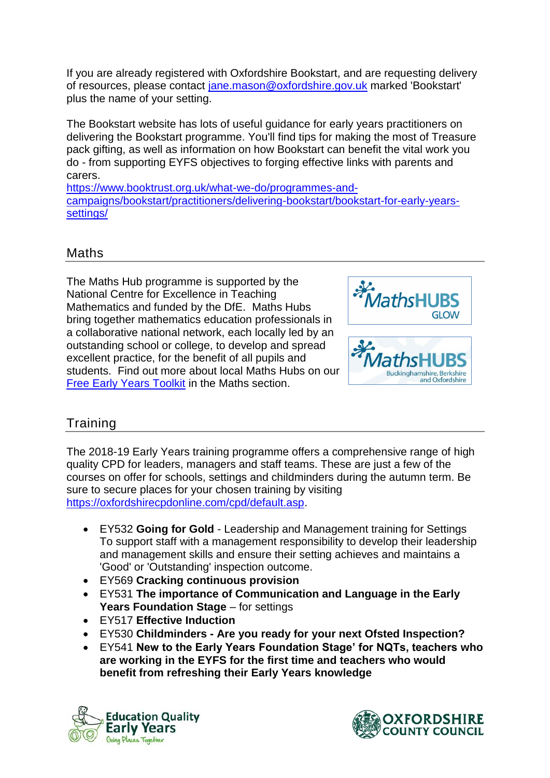If you are already registered with Oxfordshire Bookstart, and are requesting delivery of resources, please contact [jane.mason@oxfordshire.gov.uk](mailto:jane.mason@oxfordshire.gov.uk) marked 'Bookstart' plus the name of your setting.

The Bookstart website has lots of useful guidance for early years practitioners on delivering the Bookstart programme. You'll find tips for making the most of Treasure pack gifting, as well as information on how Bookstart can benefit the vital work you do - from supporting EYFS objectives to forging effective links with parents and carers.

[https://www.booktrust.org.uk/what-we-do/programmes-and](https://www.booktrust.org.uk/what-we-do/programmes-and-campaigns/bookstart/practitioners/delivering-bookstart/bookstart-for-early-years-settings/)[campaigns/bookstart/practitioners/delivering-bookstart/bookstart-for-early-years](https://www.booktrust.org.uk/what-we-do/programmes-and-campaigns/bookstart/practitioners/delivering-bookstart/bookstart-for-early-years-settings/)[settings/](https://www.booktrust.org.uk/what-we-do/programmes-and-campaigns/bookstart/practitioners/delivering-bookstart/bookstart-for-early-years-settings/)

## Maths

The Maths Hub programme is supported by the National Centre for Excellence in Teaching Mathematics and funded by the DfE. Maths Hubs bring together mathematics education professionals in a collaborative national network, each locally led by an outstanding school or college, to develop and spread excellent practice, for the benefit of all pupils and students. Find out more about local Maths Hubs on our [Free Early Years Toolkit](https://www2.oxfordshire.gov.uk/cms/content/early-education-toolkit) in the Maths section.



## **Training**

The 2018-19 Early Years training programme offers a comprehensive range of high quality CPD for leaders, managers and staff teams. These are just a few of the courses on offer for schools, settings and childminders during the autumn term. Be sure to secure places for your chosen training by visiting [https://oxfordshirecpdonline.com/cpd/default.asp.](https://oxfordshirecpdonline.com/cpd/default.asp)

- EY532 **Going for Gold** Leadership and Management training for Settings To support staff with a management responsibility to develop their leadership and management skills and ensure their setting achieves and maintains a 'Good' or 'Outstanding' inspection outcome.
- EY569 **Cracking continuous provision**
- EY531 **The importance of Communication and Language in the Early**  Years Foundation Stage – for settings
- EY517 **Effective Induction**
- EY530 **Childminders - Are you ready for your next Ofsted Inspection?**
- EY541 **New to the Early Years Foundation Stage' for NQTs, teachers who are working in the EYFS for the first time and teachers who would benefit from refreshing their Early Years knowledge**



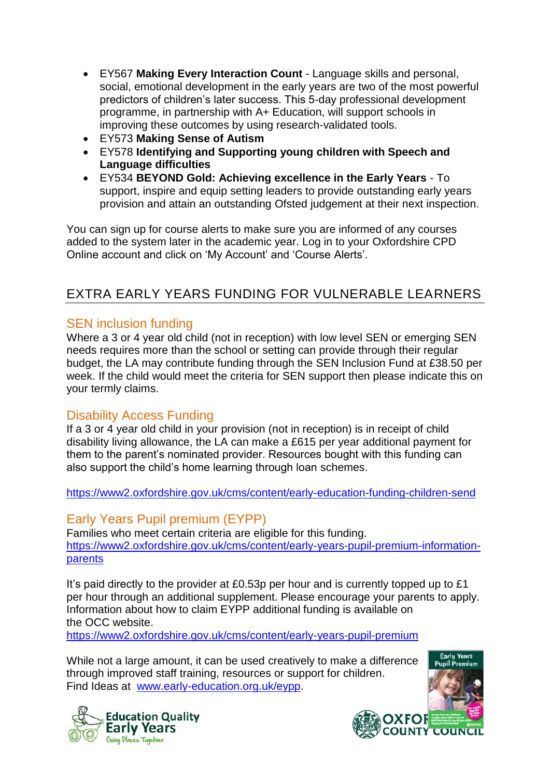- EY567 **Making Every Interaction Count** Language skills and personal, social, emotional development in the early years are two of the most powerful predictors of children's later success. This 5-day professional development programme, in partnership with A+ Education, will support schools in improving these outcomes by using research-validated tools.
- EY573 **Making Sense of Autism**
- EY578 **Identifying and Supporting young children with Speech and Language difficulties**
- EY534 **BEYOND Gold: Achieving excellence in the Early Years** To support, inspire and equip setting leaders to provide outstanding early years provision and attain an outstanding Ofsted judgement at their next inspection.

You can sign up for course alerts to make sure you are informed of any courses added to the system later in the academic year. Log in to your Oxfordshire CPD Online account and click on 'My Account' and 'Course Alerts'.

## EXTRA EARLY YEARS FUNDING FOR VULNERABLE LEARNERS

## SEN inclusion funding

Where a 3 or 4 year old child (not in reception) with low level SEN or emerging SEN needs requires more than the school or setting can provide through their regular budget, the LA may contribute funding through the SEN Inclusion Fund at £38.50 per week. If the child would meet the criteria for SEN support then please indicate this on your termly claims.

## Disability Access Funding

If a 3 or 4 year old child in your provision (not in reception) is in receipt of child disability living allowance, the LA can make a £615 per year additional payment for them to the parent's nominated provider. Resources bought with this funding can also support the child's home learning through loan schemes.

<https://www2.oxfordshire.gov.uk/cms/content/early-education-funding-children-send>

## Early Years Pupil premium (EYPP)

Families who meet certain criteria are eligible for this funding. [https://www2.oxfordshire.gov.uk/cms/content/early-years-pupil-premium-information](https://www2.oxfordshire.gov.uk/cms/content/early-years-pupil-premium-information-parents)[parents](https://www2.oxfordshire.gov.uk/cms/content/early-years-pupil-premium-information-parents)

It's paid directly to the provider at £0.53p per hour and is currently topped up to £1 per hour through an additional supplement. Please encourage your parents to apply. Information about how to claim EYPP additional funding is available on the OCC website.

<https://www2.oxfordshire.gov.uk/cms/content/early-years-pupil-premium>

While not a large amount, it can be used creatively to make a difference through improved staff training, resources or support for children. Find Ideas at [www.early-education.org.uk/eypp.](http://www.early-education.org.uk/eypp)



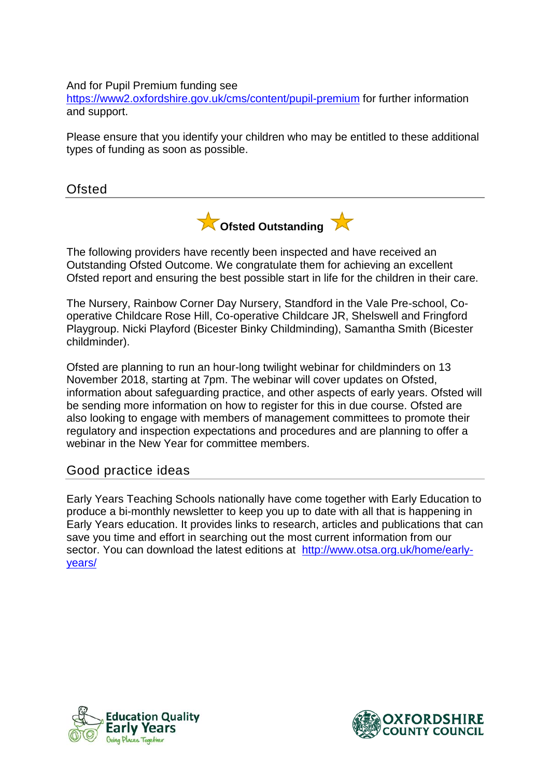#### And for Pupil Premium funding see

<https://www2.oxfordshire.gov.uk/cms/content/pupil-premium> for further information and support.

Please ensure that you identify your children who may be entitled to these additional types of funding as soon as possible.

Ofsted



The following providers have recently been inspected and have received an Outstanding Ofsted Outcome. We congratulate them for achieving an excellent Ofsted report and ensuring the best possible start in life for the children in their care.

The Nursery, Rainbow Corner Day Nursery, Standford in the Vale Pre-school, Cooperative Childcare Rose Hill, Co-operative Childcare JR, Shelswell and Fringford Playgroup. Nicki Playford (Bicester Binky Childminding), Samantha Smith (Bicester childminder).

Ofsted are planning to run an hour-long twilight webinar for childminders on 13 November 2018, starting at 7pm. The webinar will cover updates on Ofsted, information about safeguarding practice, and other aspects of early years. Ofsted will be sending more information on how to register for this in due course. Ofsted are also looking to engage with members of management committees to promote their regulatory and inspection expectations and procedures and are planning to offer a webinar in the New Year for committee members.

#### Good practice ideas

Early Years Teaching Schools nationally have come together with Early Education to produce a bi-monthly newsletter to keep you up to date with all that is happening in Early Years education. It provides links to research, articles and publications that can save you time and effort in searching out the most current information from our sector. You can download the latest editions at [http://www.otsa.org.uk/home/early](http://www.otsa.org.uk/home/early-years/)[years/](http://www.otsa.org.uk/home/early-years/)